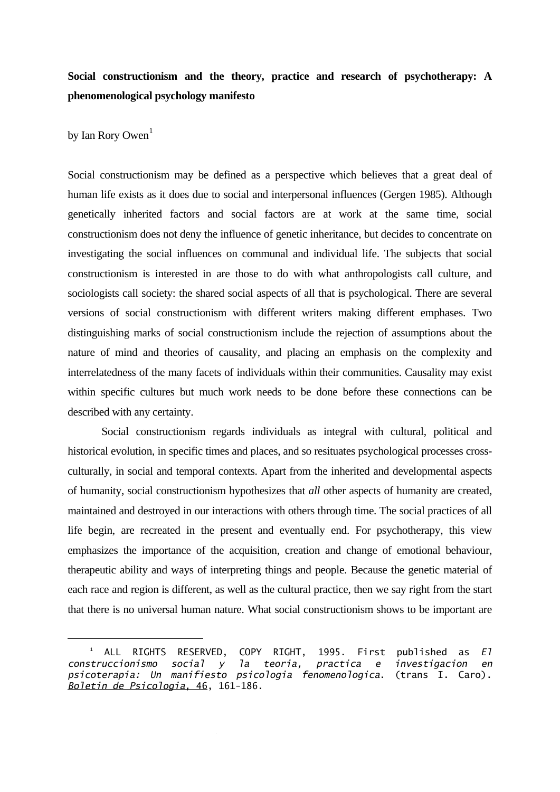# **Social constructionism and the theory, practice and research of psychotherapy: A phenomenological psychology manifesto**

## by Ian Rory Owen $<sup>1</sup>$  $<sup>1</sup>$  $<sup>1</sup>$ </sup>

—<br>—

Social constructionism may be defined as a perspective which believes that a great deal of human life exists as it does due to social and interpersonal influences (Gergen 1985). Although genetically inherited factors and social factors are at work at the same time, social constructionism does not deny the influence of genetic inheritance, but decides to concentrate on investigating the social influences on communal and individual life. The subjects that social constructionism is interested in are those to do with what anthropologists call culture, and sociologists call society: the shared social aspects of all that is psychological. There are several versions of social constructionism with different writers making different emphases. Two distinguishing marks of social constructionism include the rejection of assumptions about the nature of mind and theories of causality, and placing an emphasis on the complexity and interrelatedness of the many facets of individuals within their communities. Causality may exist within specific cultures but much work needs to be done before these connections can be described with any certainty.

 Social constructionism regards individuals as integral with cultural, political and historical evolution, in specific times and places, and so resituates psychological processes crossculturally, in social and temporal contexts. Apart from the inherited and developmental aspects of humanity, social constructionism hypothesizes that *all* other aspects of humanity are created, maintained and destroyed in our interactions with others through time. The social practices of all life begin, are recreated in the present and eventually end. For psychotherapy, this view emphasizes the importance of the acquisition, creation and change of emotional behaviour, therapeutic ability and ways of interpreting things and people. Because the genetic material of each race and region is different, as well as the cultural practice, then we say right from the start that there is no universal human nature. What social constructionism shows to be important are

<span id="page-0-0"></span> $\frac{1}{2}$  ALL RIGHTS RESERVED, COPY RIGHT, 1995. First published as *El construccionismo social y la teoria, practica e investigacion en psicoterapia: Un manifiesto psicologia fenomenologica*. (trans I. Caro). *Boletin de Psicologia*, 46, 161-186.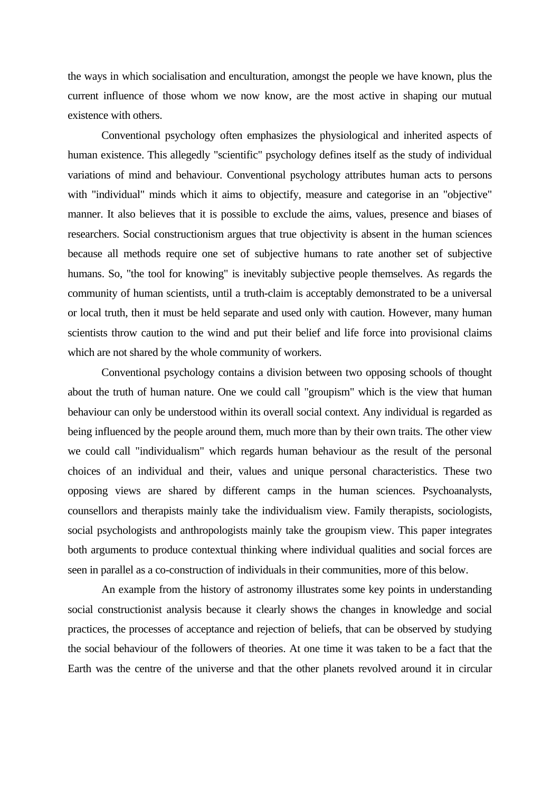the ways in which socialisation and enculturation, amongst the people we have known, plus the current influence of those whom we now know, are the most active in shaping our mutual existence with others.

 Conventional psychology often emphasizes the physiological and inherited aspects of human existence. This allegedly "scientific" psychology defines itself as the study of individual variations of mind and behaviour. Conventional psychology attributes human acts to persons with "individual" minds which it aims to objectify, measure and categorise in an "objective" manner. It also believes that it is possible to exclude the aims, values, presence and biases of researchers. Social constructionism argues that true objectivity is absent in the human sciences because all methods require one set of subjective humans to rate another set of subjective humans. So, "the tool for knowing" is inevitably subjective people themselves. As regards the community of human scientists, until a truth-claim is acceptably demonstrated to be a universal or local truth, then it must be held separate and used only with caution. However, many human scientists throw caution to the wind and put their belief and life force into provisional claims which are not shared by the whole community of workers.

 Conventional psychology contains a division between two opposing schools of thought about the truth of human nature. One we could call "groupism" which is the view that human behaviour can only be understood within its overall social context. Any individual is regarded as being influenced by the people around them, much more than by their own traits. The other view we could call "individualism" which regards human behaviour as the result of the personal choices of an individual and their, values and unique personal characteristics. These two opposing views are shared by different camps in the human sciences. Psychoanalysts, counsellors and therapists mainly take the individualism view. Family therapists, sociologists, social psychologists and anthropologists mainly take the groupism view. This paper integrates both arguments to produce contextual thinking where individual qualities and social forces are seen in parallel as a co-construction of individuals in their communities, more of this below.

 An example from the history of astronomy illustrates some key points in understanding social constructionist analysis because it clearly shows the changes in knowledge and social practices, the processes of acceptance and rejection of beliefs, that can be observed by studying the social behaviour of the followers of theories. At one time it was taken to be a fact that the Earth was the centre of the universe and that the other planets revolved around it in circular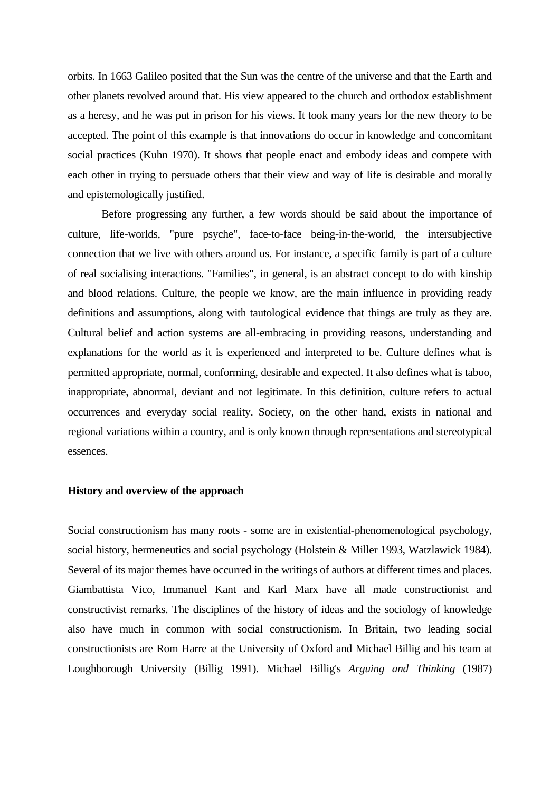orbits. In 1663 Galileo posited that the Sun was the centre of the universe and that the Earth and other planets revolved around that. His view appeared to the church and orthodox establishment as a heresy, and he was put in prison for his views. It took many years for the new theory to be accepted. The point of this example is that innovations do occur in knowledge and concomitant social practices (Kuhn 1970). It shows that people enact and embody ideas and compete with each other in trying to persuade others that their view and way of life is desirable and morally and epistemologically justified.

 Before progressing any further, a few words should be said about the importance of culture, life-worlds, "pure psyche", face-to-face being-in-the-world, the intersubjective connection that we live with others around us. For instance, a specific family is part of a culture of real socialising interactions. "Families", in general, is an abstract concept to do with kinship and blood relations. Culture, the people we know, are the main influence in providing ready definitions and assumptions, along with tautological evidence that things are truly as they are. Cultural belief and action systems are all-embracing in providing reasons, understanding and explanations for the world as it is experienced and interpreted to be. Culture defines what is permitted appropriate, normal, conforming, desirable and expected. It also defines what is taboo, inappropriate, abnormal, deviant and not legitimate. In this definition, culture refers to actual occurrences and everyday social reality. Society, on the other hand, exists in national and regional variations within a country, and is only known through representations and stereotypical essences.

## **History and overview of the approach**

Social constructionism has many roots - some are in existential-phenomenological psychology, social history, hermeneutics and social psychology (Holstein & Miller 1993, Watzlawick 1984). Several of its major themes have occurred in the writings of authors at different times and places. Giambattista Vico, Immanuel Kant and Karl Marx have all made constructionist and constructivist remarks. The disciplines of the history of ideas and the sociology of knowledge also have much in common with social constructionism. In Britain, two leading social constructionists are Rom Harre at the University of Oxford and Michael Billig and his team at Loughborough University (Billig 1991). Michael Billig's *Arguing and Thinking* (1987)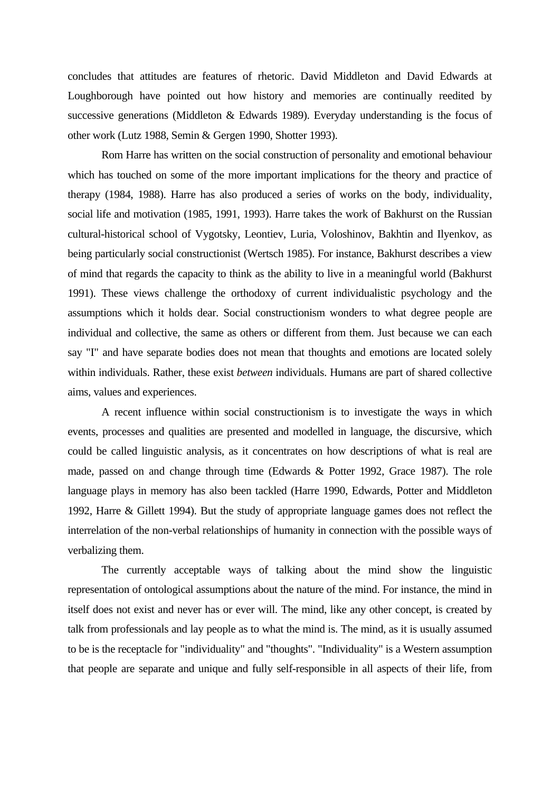concludes that attitudes are features of rhetoric. David Middleton and David Edwards at Loughborough have pointed out how history and memories are continually reedited by successive generations (Middleton & Edwards 1989). Everyday understanding is the focus of other work (Lutz 1988, Semin & Gergen 1990, Shotter 1993).

 Rom Harre has written on the social construction of personality and emotional behaviour which has touched on some of the more important implications for the theory and practice of therapy (1984, 1988). Harre has also produced a series of works on the body, individuality, social life and motivation (1985, 1991, 1993). Harre takes the work of Bakhurst on the Russian cultural-historical school of Vygotsky, Leontiev, Luria, Voloshinov, Bakhtin and Ilyenkov, as being particularly social constructionist (Wertsch 1985). For instance, Bakhurst describes a view of mind that regards the capacity to think as the ability to live in a meaningful world (Bakhurst 1991). These views challenge the orthodoxy of current individualistic psychology and the assumptions which it holds dear. Social constructionism wonders to what degree people are individual and collective, the same as others or different from them. Just because we can each say "I" and have separate bodies does not mean that thoughts and emotions are located solely within individuals. Rather, these exist *between* individuals. Humans are part of shared collective aims, values and experiences.

 A recent influence within social constructionism is to investigate the ways in which events, processes and qualities are presented and modelled in language, the discursive, which could be called linguistic analysis, as it concentrates on how descriptions of what is real are made, passed on and change through time (Edwards & Potter 1992, Grace 1987). The role language plays in memory has also been tackled (Harre 1990, Edwards, Potter and Middleton 1992, Harre & Gillett 1994). But the study of appropriate language games does not reflect the interrelation of the non-verbal relationships of humanity in connection with the possible ways of verbalizing them.

 The currently acceptable ways of talking about the mind show the linguistic representation of ontological assumptions about the nature of the mind. For instance, the mind in itself does not exist and never has or ever will. The mind, like any other concept, is created by talk from professionals and lay people as to what the mind is. The mind, as it is usually assumed to be is the receptacle for "individuality" and "thoughts". "Individuality" is a Western assumption that people are separate and unique and fully self-responsible in all aspects of their life, from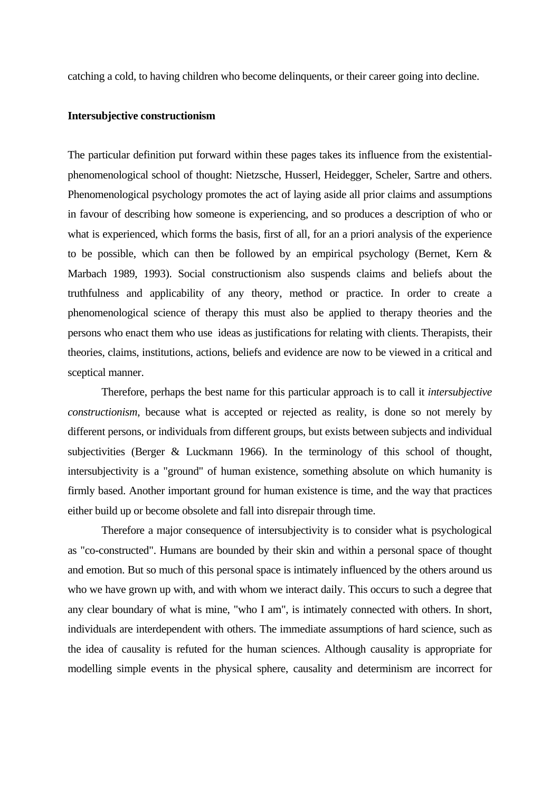catching a cold, to having children who become delinquents, or their career going into decline.

### **Intersubjective constructionism**

The particular definition put forward within these pages takes its influence from the existentialphenomenological school of thought: Nietzsche, Husserl, Heidegger, Scheler, Sartre and others. Phenomenological psychology promotes the act of laying aside all prior claims and assumptions in favour of describing how someone is experiencing, and so produces a description of who or what is experienced, which forms the basis, first of all, for an a priori analysis of the experience to be possible, which can then be followed by an empirical psychology (Bernet, Kern & Marbach 1989, 1993). Social constructionism also suspends claims and beliefs about the truthfulness and applicability of any theory, method or practice. In order to create a phenomenological science of therapy this must also be applied to therapy theories and the persons who enact them who use ideas as justifications for relating with clients. Therapists, their theories, claims, institutions, actions, beliefs and evidence are now to be viewed in a critical and sceptical manner.

 Therefore, perhaps the best name for this particular approach is to call it *intersubjective constructionism*, because what is accepted or rejected as reality, is done so not merely by different persons, or individuals from different groups, but exists between subjects and individual subjectivities (Berger & Luckmann 1966). In the terminology of this school of thought, intersubjectivity is a "ground" of human existence, something absolute on which humanity is firmly based. Another important ground for human existence is time, and the way that practices either build up or become obsolete and fall into disrepair through time.

 Therefore a major consequence of intersubjectivity is to consider what is psychological as "co-constructed". Humans are bounded by their skin and within a personal space of thought and emotion. But so much of this personal space is intimately influenced by the others around us who we have grown up with, and with whom we interact daily. This occurs to such a degree that any clear boundary of what is mine, "who I am", is intimately connected with others. In short, individuals are interdependent with others. The immediate assumptions of hard science, such as the idea of causality is refuted for the human sciences. Although causality is appropriate for modelling simple events in the physical sphere, causality and determinism are incorrect for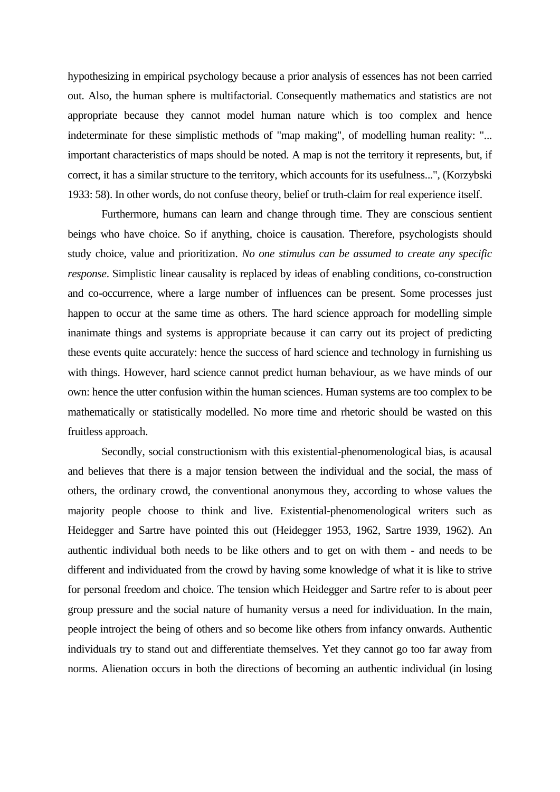hypothesizing in empirical psychology because a prior analysis of essences has not been carried out. Also, the human sphere is multifactorial. Consequently mathematics and statistics are not appropriate because they cannot model human nature which is too complex and hence indeterminate for these simplistic methods of "map making", of modelling human reality: "... important characteristics of maps should be noted. A map is not the territory it represents, but, if correct, it has a similar structure to the territory, which accounts for its usefulness...", (Korzybski 1933: 58). In other words, do not confuse theory, belief or truth-claim for real experience itself.

 Furthermore, humans can learn and change through time. They are conscious sentient beings who have choice. So if anything, choice is causation. Therefore, psychologists should study choice, value and prioritization. *No one stimulus can be assumed to create any specific response*. Simplistic linear causality is replaced by ideas of enabling conditions, co-construction and co-occurrence, where a large number of influences can be present. Some processes just happen to occur at the same time as others. The hard science approach for modelling simple inanimate things and systems is appropriate because it can carry out its project of predicting these events quite accurately: hence the success of hard science and technology in furnishing us with things. However, hard science cannot predict human behaviour, as we have minds of our own: hence the utter confusion within the human sciences. Human systems are too complex to be mathematically or statistically modelled. No more time and rhetoric should be wasted on this fruitless approach.

 Secondly, social constructionism with this existential-phenomenological bias, is acausal and believes that there is a major tension between the individual and the social, the mass of others, the ordinary crowd, the conventional anonymous they, according to whose values the majority people choose to think and live. Existential-phenomenological writers such as Heidegger and Sartre have pointed this out (Heidegger 1953, 1962, Sartre 1939, 1962). An authentic individual both needs to be like others and to get on with them - and needs to be different and individuated from the crowd by having some knowledge of what it is like to strive for personal freedom and choice. The tension which Heidegger and Sartre refer to is about peer group pressure and the social nature of humanity versus a need for individuation. In the main, people introject the being of others and so become like others from infancy onwards. Authentic individuals try to stand out and differentiate themselves. Yet they cannot go too far away from norms. Alienation occurs in both the directions of becoming an authentic individual (in losing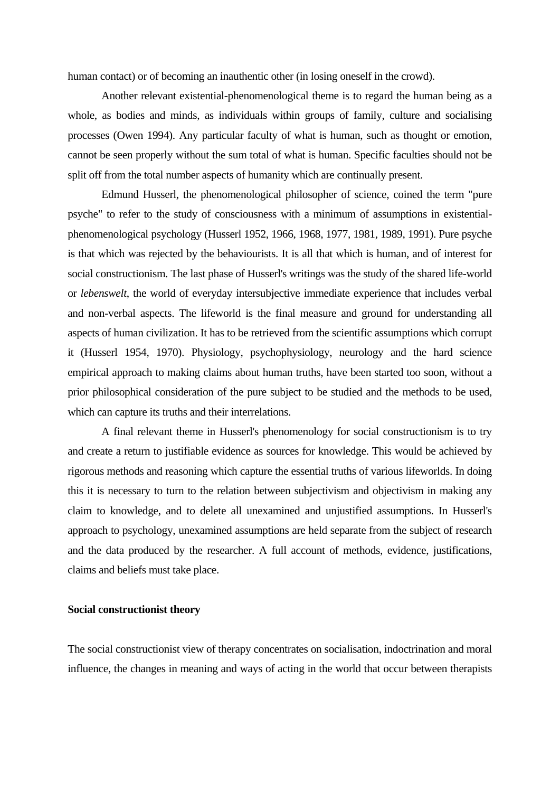human contact) or of becoming an inauthentic other (in losing oneself in the crowd).

 Another relevant existential-phenomenological theme is to regard the human being as a whole, as bodies and minds, as individuals within groups of family, culture and socialising processes (Owen 1994). Any particular faculty of what is human, such as thought or emotion, cannot be seen properly without the sum total of what is human. Specific faculties should not be split off from the total number aspects of humanity which are continually present.

 Edmund Husserl, the phenomenological philosopher of science, coined the term "pure psyche" to refer to the study of consciousness with a minimum of assumptions in existentialphenomenological psychology (Husserl 1952, 1966, 1968, 1977, 1981, 1989, 1991). Pure psyche is that which was rejected by the behaviourists. It is all that which is human, and of interest for social constructionism. The last phase of Husserl's writings was the study of the shared life-world or *lebenswelt*, the world of everyday intersubjective immediate experience that includes verbal and non-verbal aspects. The lifeworld is the final measure and ground for understanding all aspects of human civilization. It has to be retrieved from the scientific assumptions which corrupt it (Husserl 1954, 1970). Physiology, psychophysiology, neurology and the hard science empirical approach to making claims about human truths, have been started too soon, without a prior philosophical consideration of the pure subject to be studied and the methods to be used, which can capture its truths and their interrelations.

 A final relevant theme in Husserl's phenomenology for social constructionism is to try and create a return to justifiable evidence as sources for knowledge. This would be achieved by rigorous methods and reasoning which capture the essential truths of various lifeworlds. In doing this it is necessary to turn to the relation between subjectivism and objectivism in making any claim to knowledge, and to delete all unexamined and unjustified assumptions. In Husserl's approach to psychology, unexamined assumptions are held separate from the subject of research and the data produced by the researcher. A full account of methods, evidence, justifications, claims and beliefs must take place.

#### **Social constructionist theory**

The social constructionist view of therapy concentrates on socialisation, indoctrination and moral influence, the changes in meaning and ways of acting in the world that occur between therapists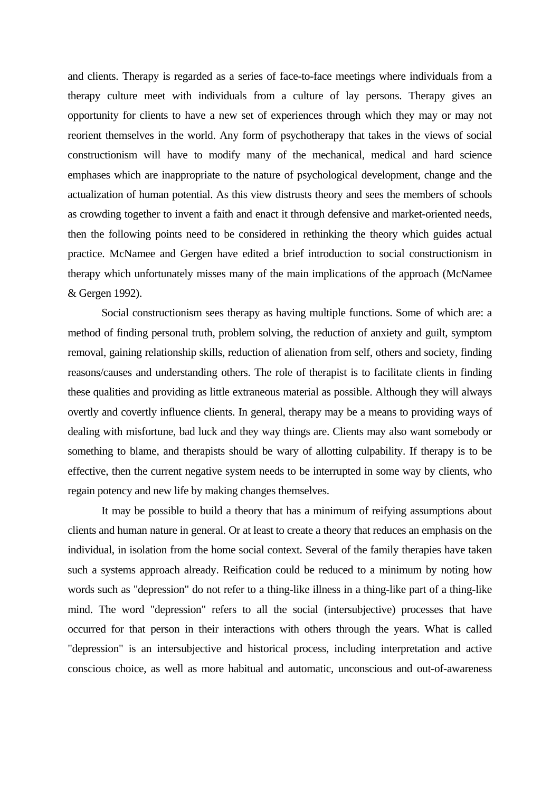and clients. Therapy is regarded as a series of face-to-face meetings where individuals from a therapy culture meet with individuals from a culture of lay persons. Therapy gives an opportunity for clients to have a new set of experiences through which they may or may not reorient themselves in the world. Any form of psychotherapy that takes in the views of social constructionism will have to modify many of the mechanical, medical and hard science emphases which are inappropriate to the nature of psychological development, change and the actualization of human potential. As this view distrusts theory and sees the members of schools as crowding together to invent a faith and enact it through defensive and market-oriented needs, then the following points need to be considered in rethinking the theory which guides actual practice. McNamee and Gergen have edited a brief introduction to social constructionism in therapy which unfortunately misses many of the main implications of the approach (McNamee & Gergen 1992).

 Social constructionism sees therapy as having multiple functions. Some of which are: a method of finding personal truth, problem solving, the reduction of anxiety and guilt, symptom removal, gaining relationship skills, reduction of alienation from self, others and society, finding reasons/causes and understanding others. The role of therapist is to facilitate clients in finding these qualities and providing as little extraneous material as possible. Although they will always overtly and covertly influence clients. In general, therapy may be a means to providing ways of dealing with misfortune, bad luck and they way things are. Clients may also want somebody or something to blame, and therapists should be wary of allotting culpability. If therapy is to be effective, then the current negative system needs to be interrupted in some way by clients, who regain potency and new life by making changes themselves.

 It may be possible to build a theory that has a minimum of reifying assumptions about clients and human nature in general. Or at least to create a theory that reduces an emphasis on the individual, in isolation from the home social context. Several of the family therapies have taken such a systems approach already. Reification could be reduced to a minimum by noting how words such as "depression" do not refer to a thing-like illness in a thing-like part of a thing-like mind. The word "depression" refers to all the social (intersubjective) processes that have occurred for that person in their interactions with others through the years. What is called "depression" is an intersubjective and historical process, including interpretation and active conscious choice, as well as more habitual and automatic, unconscious and out-of-awareness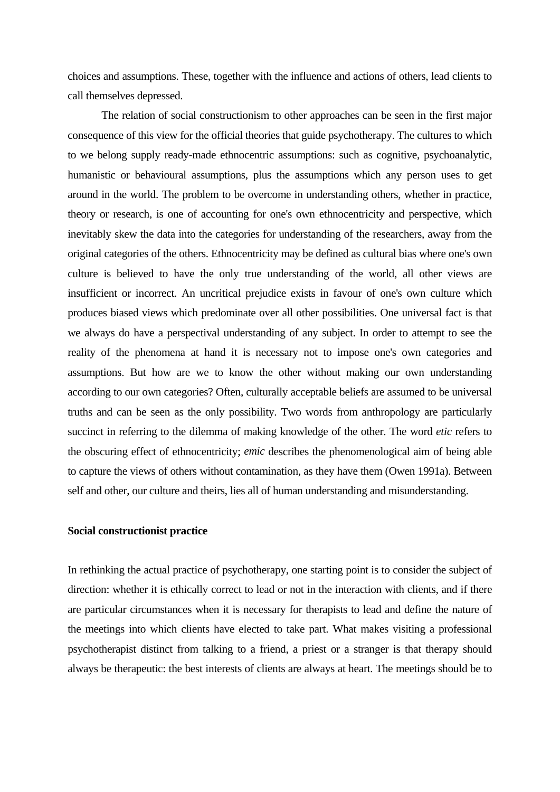choices and assumptions. These, together with the influence and actions of others, lead clients to call themselves depressed.

 The relation of social constructionism to other approaches can be seen in the first major consequence of this view for the official theories that guide psychotherapy. The cultures to which to we belong supply ready-made ethnocentric assumptions: such as cognitive, psychoanalytic, humanistic or behavioural assumptions, plus the assumptions which any person uses to get around in the world. The problem to be overcome in understanding others, whether in practice, theory or research, is one of accounting for one's own ethnocentricity and perspective, which inevitably skew the data into the categories for understanding of the researchers, away from the original categories of the others. Ethnocentricity may be defined as cultural bias where one's own culture is believed to have the only true understanding of the world, all other views are insufficient or incorrect. An uncritical prejudice exists in favour of one's own culture which produces biased views which predominate over all other possibilities. One universal fact is that we always do have a perspectival understanding of any subject. In order to attempt to see the reality of the phenomena at hand it is necessary not to impose one's own categories and assumptions. But how are we to know the other without making our own understanding according to our own categories? Often, culturally acceptable beliefs are assumed to be universal truths and can be seen as the only possibility. Two words from anthropology are particularly succinct in referring to the dilemma of making knowledge of the other. The word *etic* refers to the obscuring effect of ethnocentricity; *emic* describes the phenomenological aim of being able to capture the views of others without contamination, as they have them (Owen 1991a). Between self and other, our culture and theirs, lies all of human understanding and misunderstanding.

## **Social constructionist practice**

In rethinking the actual practice of psychotherapy, one starting point is to consider the subject of direction: whether it is ethically correct to lead or not in the interaction with clients, and if there are particular circumstances when it is necessary for therapists to lead and define the nature of the meetings into which clients have elected to take part. What makes visiting a professional psychotherapist distinct from talking to a friend, a priest or a stranger is that therapy should always be therapeutic: the best interests of clients are always at heart. The meetings should be to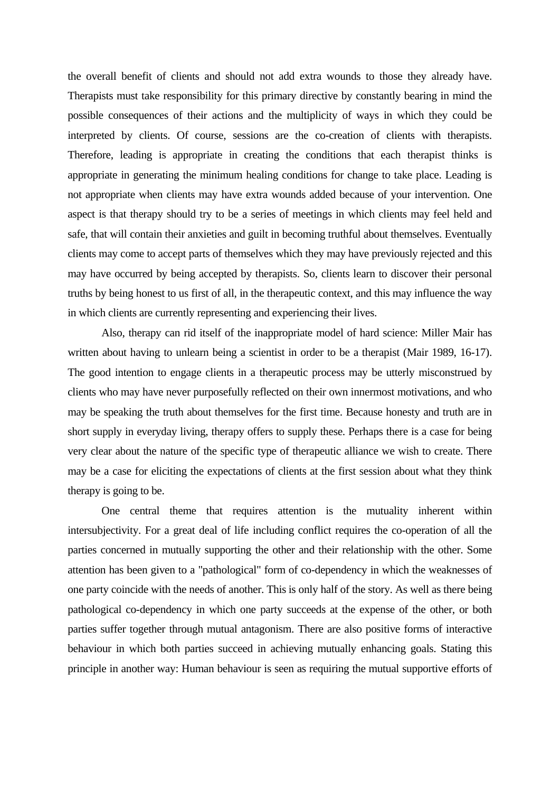the overall benefit of clients and should not add extra wounds to those they already have. Therapists must take responsibility for this primary directive by constantly bearing in mind the possible consequences of their actions and the multiplicity of ways in which they could be interpreted by clients. Of course, sessions are the co-creation of clients with therapists. Therefore, leading is appropriate in creating the conditions that each therapist thinks is appropriate in generating the minimum healing conditions for change to take place. Leading is not appropriate when clients may have extra wounds added because of your intervention. One aspect is that therapy should try to be a series of meetings in which clients may feel held and safe, that will contain their anxieties and guilt in becoming truthful about themselves. Eventually clients may come to accept parts of themselves which they may have previously rejected and this may have occurred by being accepted by therapists. So, clients learn to discover their personal truths by being honest to us first of all, in the therapeutic context, and this may influence the way in which clients are currently representing and experiencing their lives.

 Also, therapy can rid itself of the inappropriate model of hard science: Miller Mair has written about having to unlearn being a scientist in order to be a therapist (Mair 1989, 16-17). The good intention to engage clients in a therapeutic process may be utterly misconstrued by clients who may have never purposefully reflected on their own innermost motivations, and who may be speaking the truth about themselves for the first time. Because honesty and truth are in short supply in everyday living, therapy offers to supply these. Perhaps there is a case for being very clear about the nature of the specific type of therapeutic alliance we wish to create. There may be a case for eliciting the expectations of clients at the first session about what they think therapy is going to be.

 One central theme that requires attention is the mutuality inherent within intersubjectivity. For a great deal of life including conflict requires the co-operation of all the parties concerned in mutually supporting the other and their relationship with the other. Some attention has been given to a "pathological" form of co-dependency in which the weaknesses of one party coincide with the needs of another. This is only half of the story. As well as there being pathological co-dependency in which one party succeeds at the expense of the other, or both parties suffer together through mutual antagonism. There are also positive forms of interactive behaviour in which both parties succeed in achieving mutually enhancing goals. Stating this principle in another way: Human behaviour is seen as requiring the mutual supportive efforts of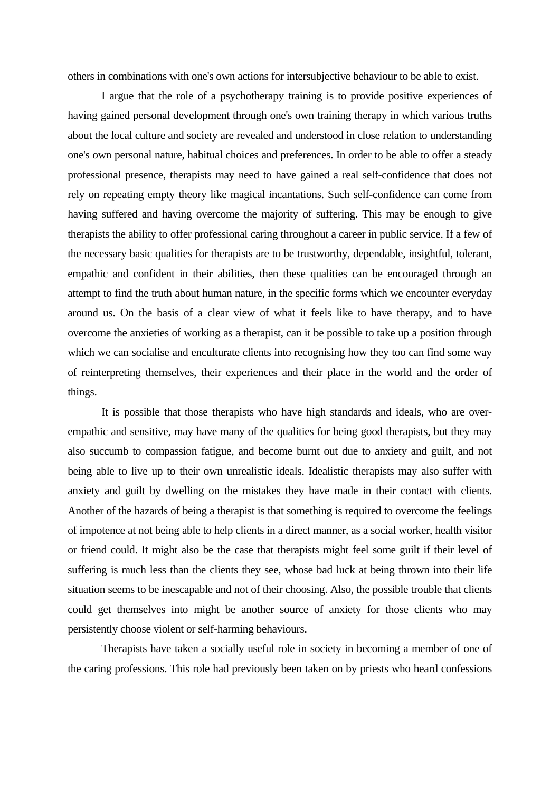others in combinations with one's own actions for intersubjective behaviour to be able to exist.

 I argue that the role of a psychotherapy training is to provide positive experiences of having gained personal development through one's own training therapy in which various truths about the local culture and society are revealed and understood in close relation to understanding one's own personal nature, habitual choices and preferences. In order to be able to offer a steady professional presence, therapists may need to have gained a real self-confidence that does not rely on repeating empty theory like magical incantations. Such self-confidence can come from having suffered and having overcome the majority of suffering. This may be enough to give therapists the ability to offer professional caring throughout a career in public service. If a few of the necessary basic qualities for therapists are to be trustworthy, dependable, insightful, tolerant, empathic and confident in their abilities, then these qualities can be encouraged through an attempt to find the truth about human nature, in the specific forms which we encounter everyday around us. On the basis of a clear view of what it feels like to have therapy, and to have overcome the anxieties of working as a therapist, can it be possible to take up a position through which we can socialise and enculturate clients into recognising how they too can find some way of reinterpreting themselves, their experiences and their place in the world and the order of things.

 It is possible that those therapists who have high standards and ideals, who are overempathic and sensitive, may have many of the qualities for being good therapists, but they may also succumb to compassion fatigue, and become burnt out due to anxiety and guilt, and not being able to live up to their own unrealistic ideals. Idealistic therapists may also suffer with anxiety and guilt by dwelling on the mistakes they have made in their contact with clients. Another of the hazards of being a therapist is that something is required to overcome the feelings of impotence at not being able to help clients in a direct manner, as a social worker, health visitor or friend could. It might also be the case that therapists might feel some guilt if their level of suffering is much less than the clients they see, whose bad luck at being thrown into their life situation seems to be inescapable and not of their choosing. Also, the possible trouble that clients could get themselves into might be another source of anxiety for those clients who may persistently choose violent or self-harming behaviours.

 Therapists have taken a socially useful role in society in becoming a member of one of the caring professions. This role had previously been taken on by priests who heard confessions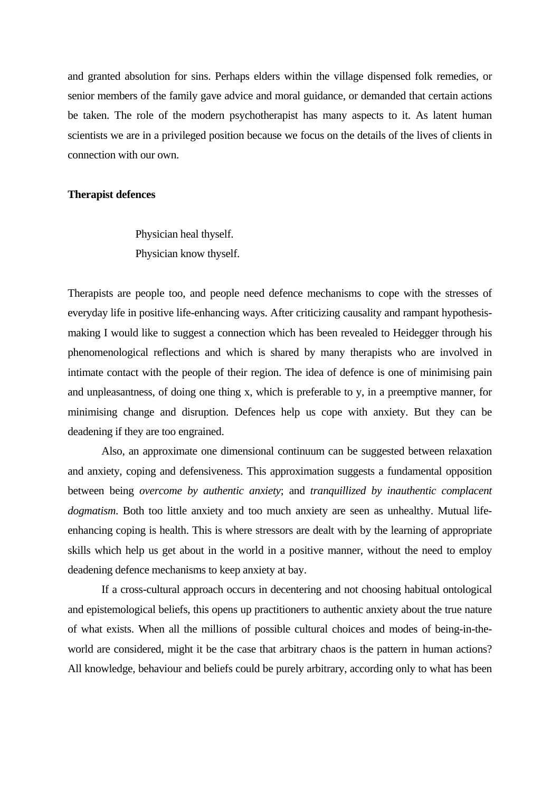and granted absolution for sins. Perhaps elders within the village dispensed folk remedies, or senior members of the family gave advice and moral guidance, or demanded that certain actions be taken. The role of the modern psychotherapist has many aspects to it. As latent human scientists we are in a privileged position because we focus on the details of the lives of clients in connection with our own.

#### **Therapist defences**

 Physician heal thyself. Physician know thyself.

Therapists are people too, and people need defence mechanisms to cope with the stresses of everyday life in positive life-enhancing ways. After criticizing causality and rampant hypothesismaking I would like to suggest a connection which has been revealed to Heidegger through his phenomenological reflections and which is shared by many therapists who are involved in intimate contact with the people of their region. The idea of defence is one of minimising pain and unpleasantness, of doing one thing x, which is preferable to y, in a preemptive manner, for minimising change and disruption. Defences help us cope with anxiety. But they can be deadening if they are too engrained.

 Also, an approximate one dimensional continuum can be suggested between relaxation and anxiety, coping and defensiveness. This approximation suggests a fundamental opposition between being *overcome by authentic anxiety*; and *tranquillized by inauthentic complacent dogmatism*. Both too little anxiety and too much anxiety are seen as unhealthy. Mutual lifeenhancing coping is health. This is where stressors are dealt with by the learning of appropriate skills which help us get about in the world in a positive manner, without the need to employ deadening defence mechanisms to keep anxiety at bay.

 If a cross-cultural approach occurs in decentering and not choosing habitual ontological and epistemological beliefs, this opens up practitioners to authentic anxiety about the true nature of what exists. When all the millions of possible cultural choices and modes of being-in-theworld are considered, might it be the case that arbitrary chaos is the pattern in human actions? All knowledge, behaviour and beliefs could be purely arbitrary, according only to what has been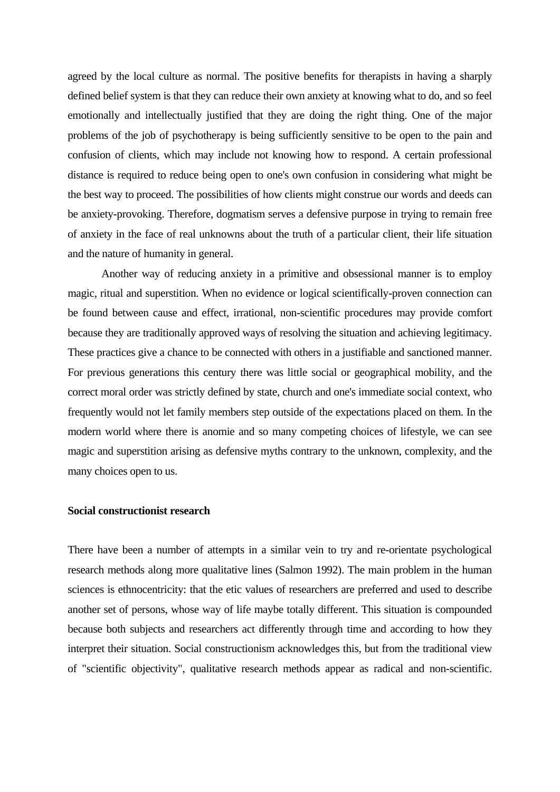agreed by the local culture as normal. The positive benefits for therapists in having a sharply defined belief system is that they can reduce their own anxiety at knowing what to do, and so feel emotionally and intellectually justified that they are doing the right thing. One of the major problems of the job of psychotherapy is being sufficiently sensitive to be open to the pain and confusion of clients, which may include not knowing how to respond. A certain professional distance is required to reduce being open to one's own confusion in considering what might be the best way to proceed. The possibilities of how clients might construe our words and deeds can be anxiety-provoking. Therefore, dogmatism serves a defensive purpose in trying to remain free of anxiety in the face of real unknowns about the truth of a particular client, their life situation and the nature of humanity in general.

 Another way of reducing anxiety in a primitive and obsessional manner is to employ magic, ritual and superstition. When no evidence or logical scientifically-proven connection can be found between cause and effect, irrational, non-scientific procedures may provide comfort because they are traditionally approved ways of resolving the situation and achieving legitimacy. These practices give a chance to be connected with others in a justifiable and sanctioned manner. For previous generations this century there was little social or geographical mobility, and the correct moral order was strictly defined by state, church and one's immediate social context, who frequently would not let family members step outside of the expectations placed on them. In the modern world where there is anomie and so many competing choices of lifestyle, we can see magic and superstition arising as defensive myths contrary to the unknown, complexity, and the many choices open to us.

## **Social constructionist research**

There have been a number of attempts in a similar vein to try and re-orientate psychological research methods along more qualitative lines (Salmon 1992). The main problem in the human sciences is ethnocentricity: that the etic values of researchers are preferred and used to describe another set of persons, whose way of life maybe totally different. This situation is compounded because both subjects and researchers act differently through time and according to how they interpret their situation. Social constructionism acknowledges this, but from the traditional view of "scientific objectivity", qualitative research methods appear as radical and non-scientific.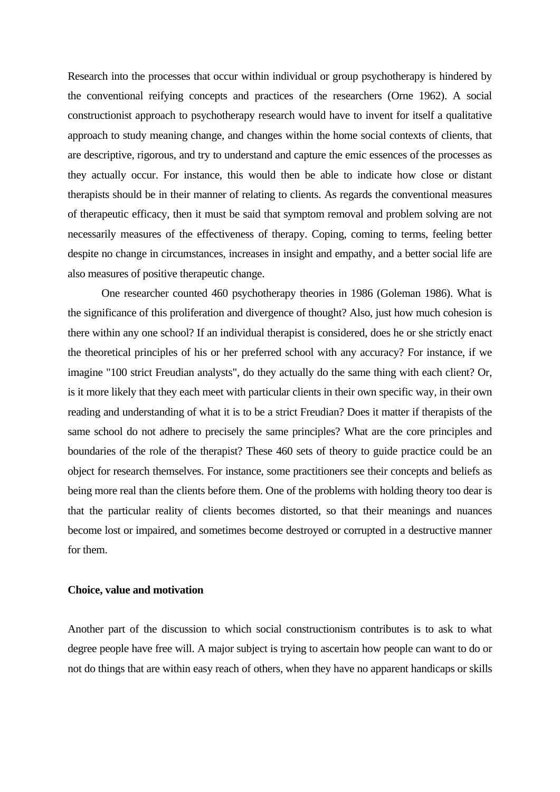Research into the processes that occur within individual or group psychotherapy is hindered by the conventional reifying concepts and practices of the researchers (Orne 1962). A social constructionist approach to psychotherapy research would have to invent for itself a qualitative approach to study meaning change, and changes within the home social contexts of clients, that are descriptive, rigorous, and try to understand and capture the emic essences of the processes as they actually occur. For instance, this would then be able to indicate how close or distant therapists should be in their manner of relating to clients. As regards the conventional measures of therapeutic efficacy, then it must be said that symptom removal and problem solving are not necessarily measures of the effectiveness of therapy. Coping, coming to terms, feeling better despite no change in circumstances, increases in insight and empathy, and a better social life are also measures of positive therapeutic change.

 One researcher counted 460 psychotherapy theories in 1986 (Goleman 1986). What is the significance of this proliferation and divergence of thought? Also, just how much cohesion is there within any one school? If an individual therapist is considered, does he or she strictly enact the theoretical principles of his or her preferred school with any accuracy? For instance, if we imagine "100 strict Freudian analysts", do they actually do the same thing with each client? Or, is it more likely that they each meet with particular clients in their own specific way, in their own reading and understanding of what it is to be a strict Freudian? Does it matter if therapists of the same school do not adhere to precisely the same principles? What are the core principles and boundaries of the role of the therapist? These 460 sets of theory to guide practice could be an object for research themselves. For instance, some practitioners see their concepts and beliefs as being more real than the clients before them. One of the problems with holding theory too dear is that the particular reality of clients becomes distorted, so that their meanings and nuances become lost or impaired, and sometimes become destroyed or corrupted in a destructive manner for them.

## **Choice, value and motivation**

Another part of the discussion to which social constructionism contributes is to ask to what degree people have free will. A major subject is trying to ascertain how people can want to do or not do things that are within easy reach of others, when they have no apparent handicaps or skills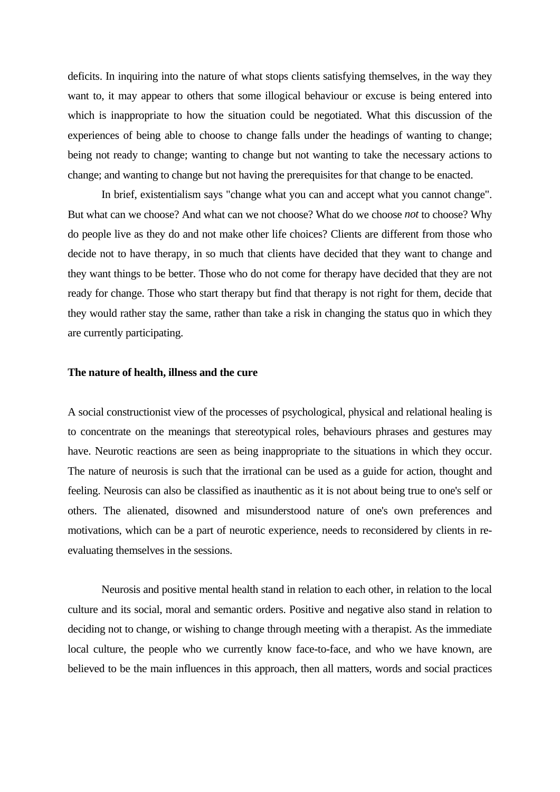deficits. In inquiring into the nature of what stops clients satisfying themselves, in the way they want to, it may appear to others that some illogical behaviour or excuse is being entered into which is inappropriate to how the situation could be negotiated. What this discussion of the experiences of being able to choose to change falls under the headings of wanting to change; being not ready to change; wanting to change but not wanting to take the necessary actions to change; and wanting to change but not having the prerequisites for that change to be enacted.

 In brief, existentialism says "change what you can and accept what you cannot change". But what can we choose? And what can we not choose? What do we choose *not* to choose? Why do people live as they do and not make other life choices? Clients are different from those who decide not to have therapy, in so much that clients have decided that they want to change and they want things to be better. Those who do not come for therapy have decided that they are not ready for change. Those who start therapy but find that therapy is not right for them, decide that they would rather stay the same, rather than take a risk in changing the status quo in which they are currently participating.

#### **The nature of health, illness and the cure**

A social constructionist view of the processes of psychological, physical and relational healing is to concentrate on the meanings that stereotypical roles, behaviours phrases and gestures may have. Neurotic reactions are seen as being inappropriate to the situations in which they occur. The nature of neurosis is such that the irrational can be used as a guide for action, thought and feeling. Neurosis can also be classified as inauthentic as it is not about being true to one's self or others. The alienated, disowned and misunderstood nature of one's own preferences and motivations, which can be a part of neurotic experience, needs to reconsidered by clients in reevaluating themselves in the sessions.

 Neurosis and positive mental health stand in relation to each other, in relation to the local culture and its social, moral and semantic orders. Positive and negative also stand in relation to deciding not to change, or wishing to change through meeting with a therapist. As the immediate local culture, the people who we currently know face-to-face, and who we have known, are believed to be the main influences in this approach, then all matters, words and social practices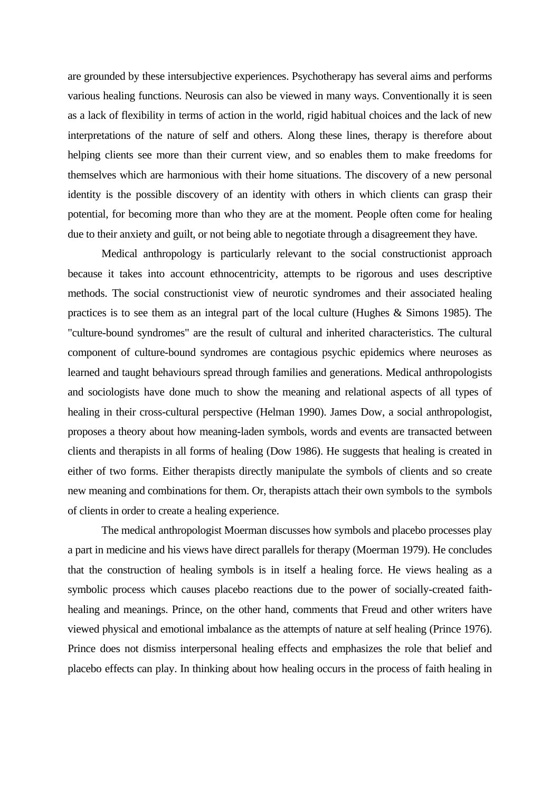are grounded by these intersubjective experiences. Psychotherapy has several aims and performs various healing functions. Neurosis can also be viewed in many ways. Conventionally it is seen as a lack of flexibility in terms of action in the world, rigid habitual choices and the lack of new interpretations of the nature of self and others. Along these lines, therapy is therefore about helping clients see more than their current view, and so enables them to make freedoms for themselves which are harmonious with their home situations. The discovery of a new personal identity is the possible discovery of an identity with others in which clients can grasp their potential, for becoming more than who they are at the moment. People often come for healing due to their anxiety and guilt, or not being able to negotiate through a disagreement they have.

 Medical anthropology is particularly relevant to the social constructionist approach because it takes into account ethnocentricity, attempts to be rigorous and uses descriptive methods. The social constructionist view of neurotic syndromes and their associated healing practices is to see them as an integral part of the local culture (Hughes & Simons 1985). The "culture-bound syndromes" are the result of cultural and inherited characteristics. The cultural component of culture-bound syndromes are contagious psychic epidemics where neuroses as learned and taught behaviours spread through families and generations. Medical anthropologists and sociologists have done much to show the meaning and relational aspects of all types of healing in their cross-cultural perspective (Helman 1990). James Dow, a social anthropologist, proposes a theory about how meaning-laden symbols, words and events are transacted between clients and therapists in all forms of healing (Dow 1986). He suggests that healing is created in either of two forms. Either therapists directly manipulate the symbols of clients and so create new meaning and combinations for them. Or, therapists attach their own symbols to the symbols of clients in order to create a healing experience.

 The medical anthropologist Moerman discusses how symbols and placebo processes play a part in medicine and his views have direct parallels for therapy (Moerman 1979). He concludes that the construction of healing symbols is in itself a healing force. He views healing as a symbolic process which causes placebo reactions due to the power of socially-created faithhealing and meanings. Prince, on the other hand, comments that Freud and other writers have viewed physical and emotional imbalance as the attempts of nature at self healing (Prince 1976). Prince does not dismiss interpersonal healing effects and emphasizes the role that belief and placebo effects can play. In thinking about how healing occurs in the process of faith healing in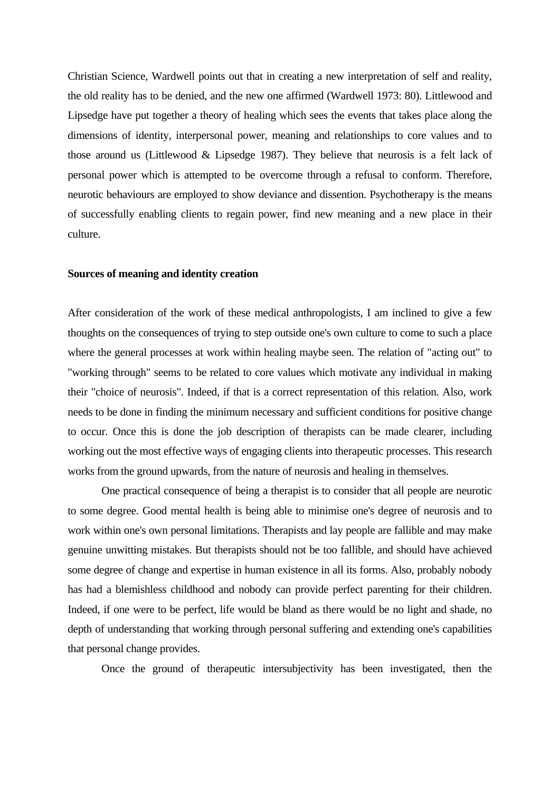Christian Science, Wardwell points out that in creating a new interpretation of self and reality, the old reality has to be denied, and the new one affirmed (Wardwell 1973: 80). Littlewood and Lipsedge have put together a theory of healing which sees the events that takes place along the dimensions of identity, interpersonal power, meaning and relationships to core values and to those around us (Littlewood & Lipsedge 1987). They believe that neurosis is a felt lack of personal power which is attempted to be overcome through a refusal to conform. Therefore, neurotic behaviours are employed to show deviance and dissention. Psychotherapy is the means of successfully enabling clients to regain power, find new meaning and a new place in their culture.

#### **Sources of meaning and identity creation**

After consideration of the work of these medical anthropologists, I am inclined to give a few thoughts on the consequences of trying to step outside one's own culture to come to such a place where the general processes at work within healing maybe seen. The relation of "acting out" to "working through" seems to be related to core values which motivate any individual in making their "choice of neurosis". Indeed, if that is a correct representation of this relation. Also, work needs to be done in finding the minimum necessary and sufficient conditions for positive change to occur. Once this is done the job description of therapists can be made clearer, including working out the most effective ways of engaging clients into therapeutic processes. This research works from the ground upwards, from the nature of neurosis and healing in themselves.

 One practical consequence of being a therapist is to consider that all people are neurotic to some degree. Good mental health is being able to minimise one's degree of neurosis and to work within one's own personal limitations. Therapists and lay people are fallible and may make genuine unwitting mistakes. But therapists should not be too fallible, and should have achieved some degree of change and expertise in human existence in all its forms. Also, probably nobody has had a blemishless childhood and nobody can provide perfect parenting for their children. Indeed, if one were to be perfect, life would be bland as there would be no light and shade, no depth of understanding that working through personal suffering and extending one's capabilities that personal change provides.

Once the ground of therapeutic intersubjectivity has been investigated, then the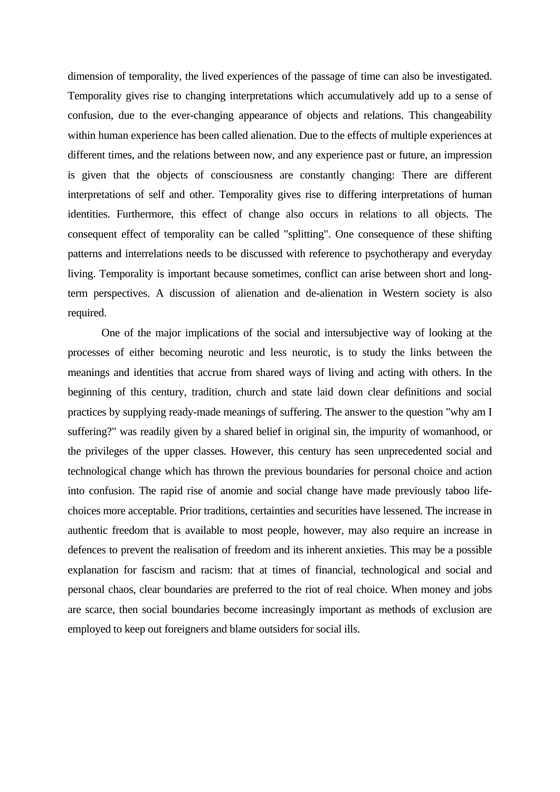dimension of temporality, the lived experiences of the passage of time can also be investigated. Temporality gives rise to changing interpretations which accumulatively add up to a sense of confusion, due to the ever-changing appearance of objects and relations. This changeability within human experience has been called alienation. Due to the effects of multiple experiences at different times, and the relations between now, and any experience past or future, an impression is given that the objects of consciousness are constantly changing: There are different interpretations of self and other. Temporality gives rise to differing interpretations of human identities. Furthermore, this effect of change also occurs in relations to all objects. The consequent effect of temporality can be called "splitting". One consequence of these shifting patterns and interrelations needs to be discussed with reference to psychotherapy and everyday living. Temporality is important because sometimes, conflict can arise between short and longterm perspectives. A discussion of alienation and de-alienation in Western society is also required.

 One of the major implications of the social and intersubjective way of looking at the processes of either becoming neurotic and less neurotic, is to study the links between the meanings and identities that accrue from shared ways of living and acting with others. In the beginning of this century, tradition, church and state laid down clear definitions and social practices by supplying ready-made meanings of suffering. The answer to the question "why am I suffering?" was readily given by a shared belief in original sin, the impurity of womanhood, or the privileges of the upper classes. However, this century has seen unprecedented social and technological change which has thrown the previous boundaries for personal choice and action into confusion. The rapid rise of anomie and social change have made previously taboo lifechoices more acceptable. Prior traditions, certainties and securities have lessened. The increase in authentic freedom that is available to most people, however, may also require an increase in defences to prevent the realisation of freedom and its inherent anxieties. This may be a possible explanation for fascism and racism: that at times of financial, technological and social and personal chaos, clear boundaries are preferred to the riot of real choice. When money and jobs are scarce, then social boundaries become increasingly important as methods of exclusion are employed to keep out foreigners and blame outsiders for social ills.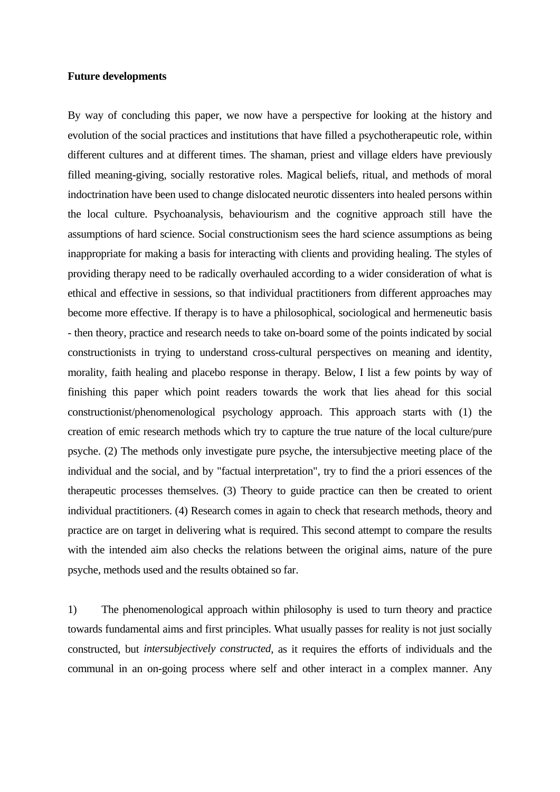#### **Future developments**

By way of concluding this paper, we now have a perspective for looking at the history and evolution of the social practices and institutions that have filled a psychotherapeutic role, within different cultures and at different times. The shaman, priest and village elders have previously filled meaning-giving, socially restorative roles. Magical beliefs, ritual, and methods of moral indoctrination have been used to change dislocated neurotic dissenters into healed persons within the local culture. Psychoanalysis, behaviourism and the cognitive approach still have the assumptions of hard science. Social constructionism sees the hard science assumptions as being inappropriate for making a basis for interacting with clients and providing healing. The styles of providing therapy need to be radically overhauled according to a wider consideration of what is ethical and effective in sessions, so that individual practitioners from different approaches may become more effective. If therapy is to have a philosophical, sociological and hermeneutic basis - then theory, practice and research needs to take on-board some of the points indicated by social constructionists in trying to understand cross-cultural perspectives on meaning and identity, morality, faith healing and placebo response in therapy. Below, I list a few points by way of finishing this paper which point readers towards the work that lies ahead for this social constructionist/phenomenological psychology approach. This approach starts with (1) the creation of emic research methods which try to capture the true nature of the local culture/pure psyche. (2) The methods only investigate pure psyche, the intersubjective meeting place of the individual and the social, and by "factual interpretation", try to find the a priori essences of the therapeutic processes themselves. (3) Theory to guide practice can then be created to orient individual practitioners. (4) Research comes in again to check that research methods, theory and practice are on target in delivering what is required. This second attempt to compare the results with the intended aim also checks the relations between the original aims, nature of the pure psyche, methods used and the results obtained so far.

1) The phenomenological approach within philosophy is used to turn theory and practice towards fundamental aims and first principles. What usually passes for reality is not just socially constructed, but *intersubjectively constructed*, as it requires the efforts of individuals and the communal in an on-going process where self and other interact in a complex manner. Any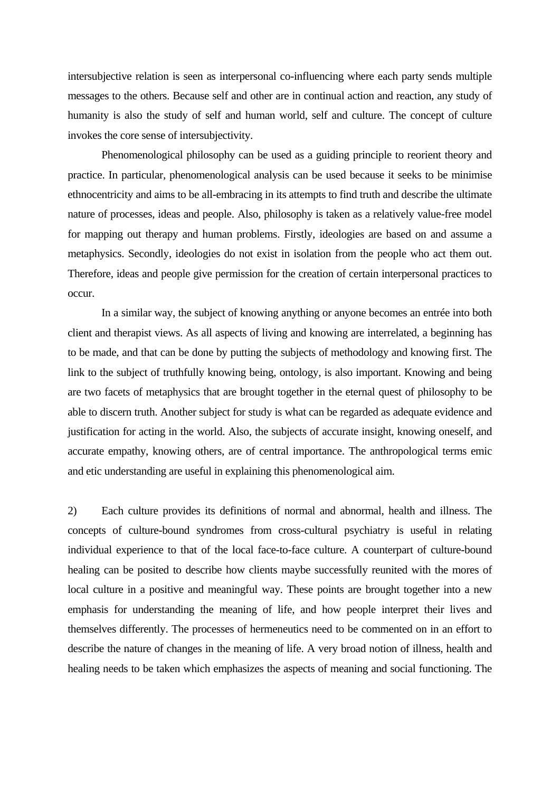intersubjective relation is seen as interpersonal co-influencing where each party sends multiple messages to the others. Because self and other are in continual action and reaction, any study of humanity is also the study of self and human world, self and culture. The concept of culture invokes the core sense of intersubjectivity.

 Phenomenological philosophy can be used as a guiding principle to reorient theory and practice. In particular, phenomenological analysis can be used because it seeks to be minimise ethnocentricity and aims to be all-embracing in its attempts to find truth and describe the ultimate nature of processes, ideas and people. Also, philosophy is taken as a relatively value-free model for mapping out therapy and human problems. Firstly, ideologies are based on and assume a metaphysics. Secondly, ideologies do not exist in isolation from the people who act them out. Therefore, ideas and people give permission for the creation of certain interpersonal practices to occur.

 In a similar way, the subject of knowing anything or anyone becomes an entrée into both client and therapist views. As all aspects of living and knowing are interrelated, a beginning has to be made, and that can be done by putting the subjects of methodology and knowing first. The link to the subject of truthfully knowing being, ontology, is also important. Knowing and being are two facets of metaphysics that are brought together in the eternal quest of philosophy to be able to discern truth. Another subject for study is what can be regarded as adequate evidence and justification for acting in the world. Also, the subjects of accurate insight, knowing oneself, and accurate empathy, knowing others, are of central importance. The anthropological terms emic and etic understanding are useful in explaining this phenomenological aim.

2) Each culture provides its definitions of normal and abnormal, health and illness. The concepts of culture-bound syndromes from cross-cultural psychiatry is useful in relating individual experience to that of the local face-to-face culture. A counterpart of culture-bound healing can be posited to describe how clients maybe successfully reunited with the mores of local culture in a positive and meaningful way. These points are brought together into a new emphasis for understanding the meaning of life, and how people interpret their lives and themselves differently. The processes of hermeneutics need to be commented on in an effort to describe the nature of changes in the meaning of life. A very broad notion of illness, health and healing needs to be taken which emphasizes the aspects of meaning and social functioning. The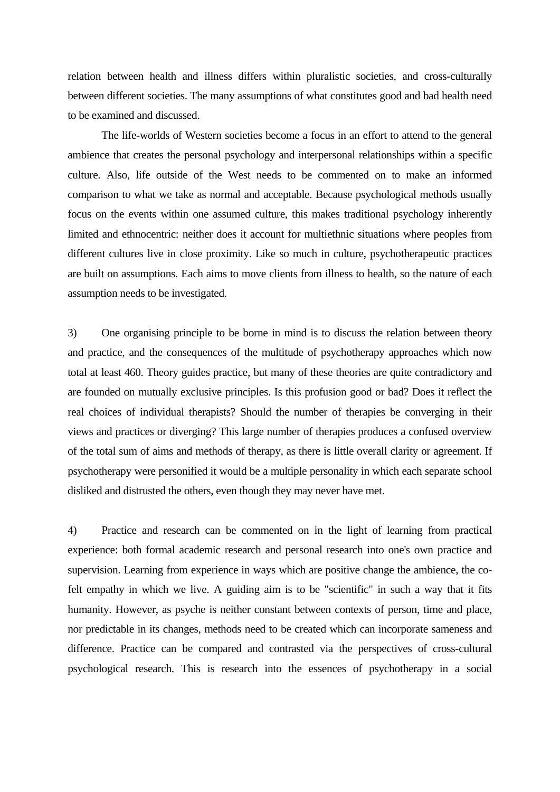relation between health and illness differs within pluralistic societies, and cross-culturally between different societies. The many assumptions of what constitutes good and bad health need to be examined and discussed.

 The life-worlds of Western societies become a focus in an effort to attend to the general ambience that creates the personal psychology and interpersonal relationships within a specific culture. Also, life outside of the West needs to be commented on to make an informed comparison to what we take as normal and acceptable. Because psychological methods usually focus on the events within one assumed culture, this makes traditional psychology inherently limited and ethnocentric: neither does it account for multiethnic situations where peoples from different cultures live in close proximity. Like so much in culture, psychotherapeutic practices are built on assumptions. Each aims to move clients from illness to health, so the nature of each assumption needs to be investigated.

3) One organising principle to be borne in mind is to discuss the relation between theory and practice, and the consequences of the multitude of psychotherapy approaches which now total at least 460. Theory guides practice, but many of these theories are quite contradictory and are founded on mutually exclusive principles. Is this profusion good or bad? Does it reflect the real choices of individual therapists? Should the number of therapies be converging in their views and practices or diverging? This large number of therapies produces a confused overview of the total sum of aims and methods of therapy, as there is little overall clarity or agreement. If psychotherapy were personified it would be a multiple personality in which each separate school disliked and distrusted the others, even though they may never have met.

4) Practice and research can be commented on in the light of learning from practical experience: both formal academic research and personal research into one's own practice and supervision. Learning from experience in ways which are positive change the ambience, the cofelt empathy in which we live. A guiding aim is to be "scientific" in such a way that it fits humanity. However, as psyche is neither constant between contexts of person, time and place, nor predictable in its changes, methods need to be created which can incorporate sameness and difference. Practice can be compared and contrasted via the perspectives of cross-cultural psychological research. This is research into the essences of psychotherapy in a social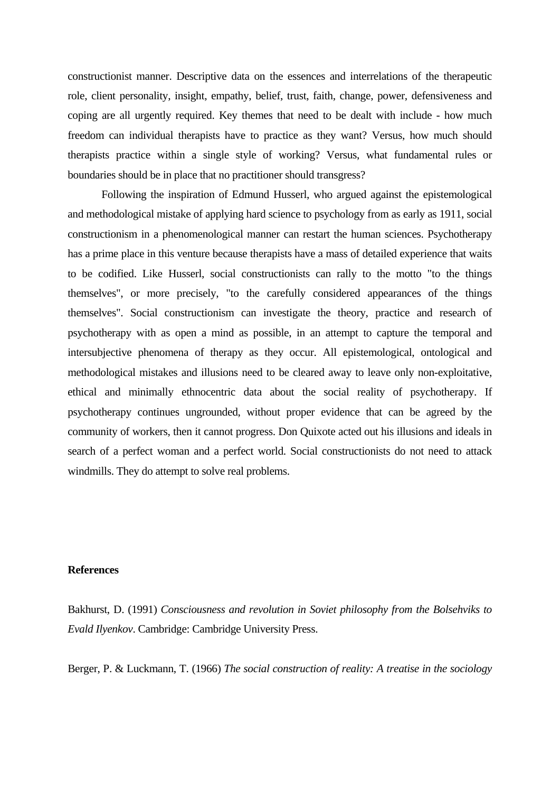constructionist manner. Descriptive data on the essences and interrelations of the therapeutic role, client personality, insight, empathy, belief, trust, faith, change, power, defensiveness and coping are all urgently required. Key themes that need to be dealt with include - how much freedom can individual therapists have to practice as they want? Versus, how much should therapists practice within a single style of working? Versus, what fundamental rules or boundaries should be in place that no practitioner should transgress?

 Following the inspiration of Edmund Husserl, who argued against the epistemological and methodological mistake of applying hard science to psychology from as early as 1911, social constructionism in a phenomenological manner can restart the human sciences. Psychotherapy has a prime place in this venture because therapists have a mass of detailed experience that waits to be codified. Like Husserl, social constructionists can rally to the motto "to the things themselves", or more precisely, "to the carefully considered appearances of the things themselves". Social constructionism can investigate the theory, practice and research of psychotherapy with as open a mind as possible, in an attempt to capture the temporal and intersubjective phenomena of therapy as they occur. All epistemological, ontological and methodological mistakes and illusions need to be cleared away to leave only non-exploitative, ethical and minimally ethnocentric data about the social reality of psychotherapy. If psychotherapy continues ungrounded, without proper evidence that can be agreed by the community of workers, then it cannot progress. Don Quixote acted out his illusions and ideals in search of a perfect woman and a perfect world. Social constructionists do not need to attack windmills. They do attempt to solve real problems.

## **References**

Bakhurst, D. (1991) *Consciousness and revolution in Soviet philosophy from the Bolsehviks to Evald Ilyenkov*. Cambridge: Cambridge University Press.

Berger, P. & Luckmann, T. (1966) *The social construction of reality: A treatise in the sociology*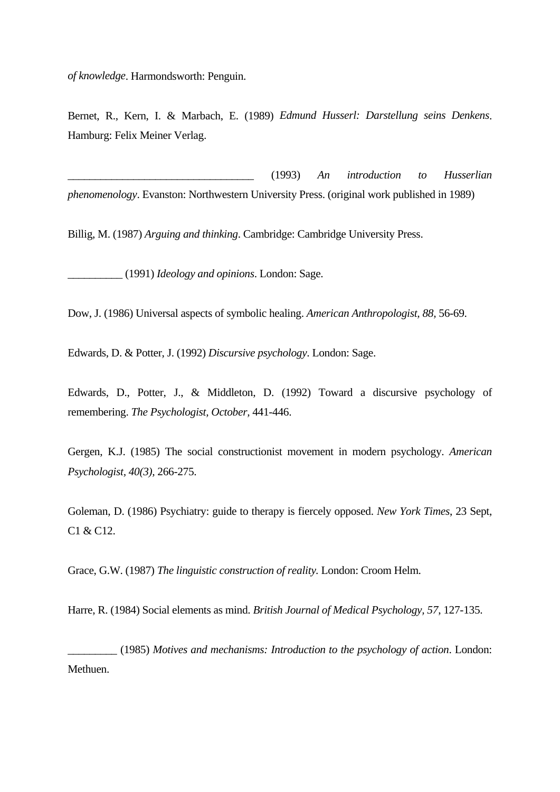*of knowledge*. Harmondsworth: Penguin.

Bernet, R., Kern, I. & Marbach, E. (1989) *Edmund Husserl: Darstellung seins Denkens*. Hamburg: Felix Meiner Verlag.

\_\_\_\_\_\_\_\_\_\_\_\_\_\_\_\_\_\_\_\_\_\_\_\_\_\_\_\_\_\_\_\_\_\_ (1993) *An introduction to Husserlian phenomenology*. Evanston: Northwestern University Press. (original work published in 1989)

Billig, M. (1987) *Arguing and thinking*. Cambridge: Cambridge University Press.

\_\_\_\_\_\_\_\_\_\_ (1991) *Ideology and opinions*. London: Sage.

Dow, J. (1986) Universal aspects of symbolic healing. *American Anthropologist, 88,* 56-69.

Edwards, D. & Potter, J. (1992) *Discursive psychology*. London: Sage.

Edwards, D., Potter, J., & Middleton, D. (1992) Toward a discursive psychology of remembering. *The Psychologist, October,* 441-446.

Gergen, K.J. (1985) The social constructionist movement in modern psychology. *American Psychologist, 40(3),* 266-275.

Goleman, D. (1986) Psychiatry: guide to therapy is fiercely opposed. *New York Times*, 23 Sept, C1 & C12.

Grace, G.W. (1987) *The linguistic construction of reality.* London: Croom Helm.

Harre, R. (1984) Social elements as mind. *British Journal of Medical Psychology, 57*, 127-135.

\_\_\_\_\_\_\_\_\_ (1985) *Motives and mechanisms: Introduction to the psychology of action*. London: Methuen.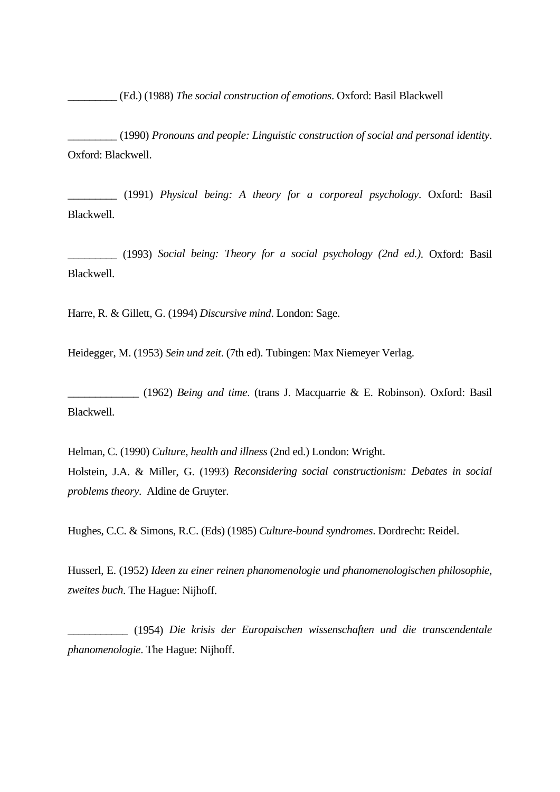\_\_\_\_\_\_\_\_\_ (Ed.) (1988) *The social construction of emotions*. Oxford: Basil Blackwell

\_\_\_\_\_\_\_\_\_ (1990) *Pronouns and people: Linguistic construction of social and personal identity*. Oxford: Blackwell.

\_\_\_\_\_\_\_\_\_ (1991) *Physical being: A theory for a corporeal psychology*. Oxford: Basil Blackwell.

\_\_\_\_\_\_\_\_\_ (1993) *Social being: Theory for a social psychology (2nd ed.)*. Oxford: Basil Blackwell.

Harre, R. & Gillett, G. (1994) *Discursive mind*. London: Sage.

Heidegger, M. (1953) *Sein und zeit*. (7th ed). Tubingen: Max Niemeyer Verlag.

\_\_\_\_\_\_\_\_\_\_\_\_\_ (1962) *Being and time*. (trans J. Macquarrie & E. Robinson). Oxford: Basil Blackwell.

Helman, C. (1990) *Culture, health and illness* (2nd ed.) London: Wright. Holstein, J.A. & Miller, G. (1993) *Reconsidering social constructionism: Debates in social problems theory*. Aldine de Gruyter.

Hughes, C.C. & Simons, R.C. (Eds) (1985) *Culture-bound syndromes*. Dordrecht: Reidel.

Husserl, E. (1952) *Ideen zu einer reinen phanomenologie und phanomenologischen philosophie, zweites buch*. The Hague: Nijhoff.

\_\_\_\_\_\_\_\_\_\_\_ (1954) *Die krisis der Europaischen wissenschaften und die transcendentale phanomenologie*. The Hague: Nijhoff.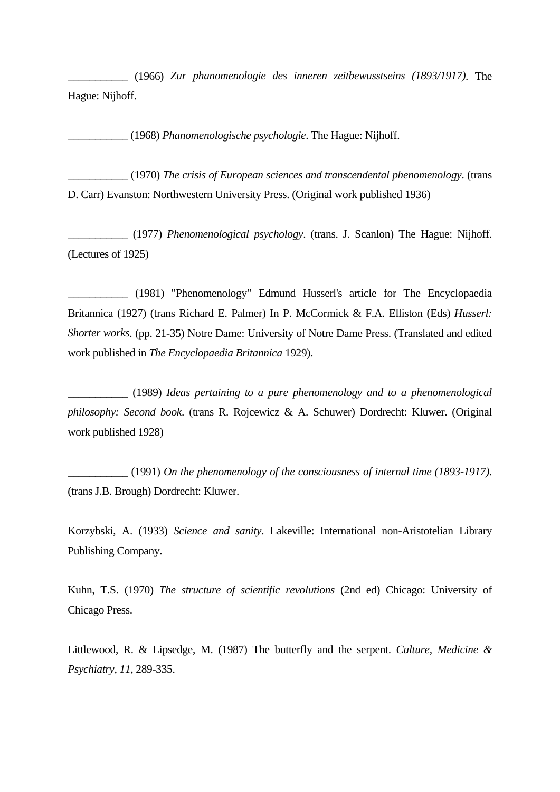\_\_\_\_\_\_\_\_\_\_\_ (1966) *Zur phanomenologie des inneren zeitbewusstseins (1893/1917)*. The Hague: Nijhoff.

\_\_\_\_\_\_\_\_\_\_\_ (1968) *Phanomenologische psychologie*. The Hague: Nijhoff.

\_\_\_\_\_\_\_\_\_\_\_ (1970) *The crisis of European sciences and transcendental phenomenology*. (trans D. Carr) Evanston: Northwestern University Press. (Original work published 1936)

\_\_\_\_\_\_\_\_\_\_\_ (1977) *Phenomenological psychology*. (trans. J. Scanlon) The Hague: Nijhoff. (Lectures of 1925)

\_\_\_\_\_\_\_\_\_\_\_ (1981) "Phenomenology" Edmund Husserl's article for The Encyclopaedia Britannica (1927) (trans Richard E. Palmer) In P. McCormick & F.A. Elliston (Eds) *Husserl: Shorter works*. (pp. 21-35) Notre Dame: University of Notre Dame Press. (Translated and edited work published in *The Encyclopaedia Britannica* 1929).

\_\_\_\_\_\_\_\_\_\_\_ (1989) *Ideas pertaining to a pure phenomenology and to a phenomenological philosophy: Second book*. (trans R. Rojcewicz & A. Schuwer) Dordrecht: Kluwer. (Original work published 1928)

\_\_\_\_\_\_\_\_\_\_\_ (1991) *On the phenomenology of the consciousness of internal time (1893-1917)*. (trans J.B. Brough) Dordrecht: Kluwer.

Korzybski, A. (1933) *Science and sanity*. Lakeville: International non-Aristotelian Library Publishing Company.

Kuhn, T.S. (1970) *The structure of scientific revolutions* (2nd ed) Chicago: University of Chicago Press.

Littlewood, R. & Lipsedge, M. (1987) The butterfly and the serpent. *Culture, Medicine & Psychiatry, 11*, 289-335.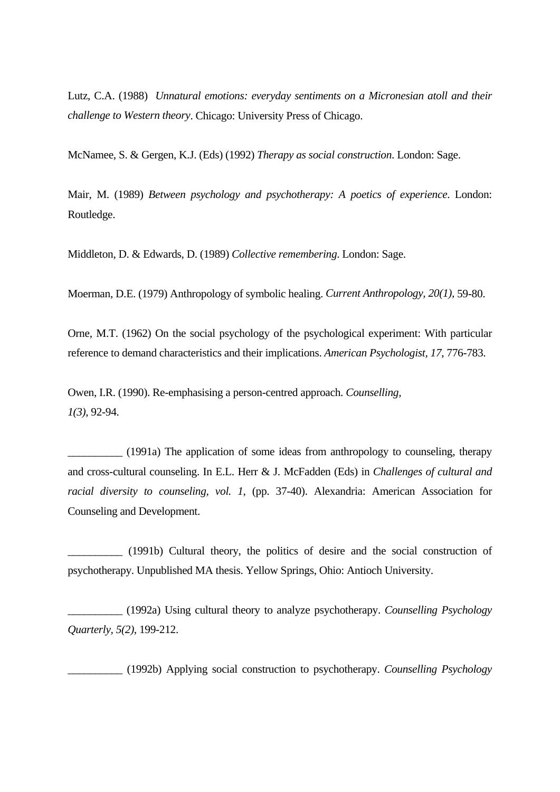Lutz, C.A. (1988) *Unnatural emotions: everyday sentiments on a Micronesian atoll and their challenge to Western theory*. Chicago: University Press of Chicago.

McNamee, S. & Gergen, K.J. (Eds) (1992) *Therapy as social construction*. London: Sage.

Mair, M. (1989) *Between psychology and psychotherapy: A poetics of experience*. London: Routledge.

Middleton, D. & Edwards, D. (1989) *Collective remembering*. London: Sage.

Moerman, D.E. (1979) Anthropology of symbolic healing. *Current Anthropology, 20(1),* 59-80.

Orne, M.T. (1962) On the social psychology of the psychological experiment: With particular reference to demand characteristics and their implications. *American Psychologist, 17*, 776-783.

Owen, I.R. (1990). Re-emphasising a person-centred approach. *Counselling, 1(3)*, 92-94.

\_\_\_\_\_\_\_\_\_\_ (1991a) The application of some ideas from anthropology to counseling, therapy and cross-cultural counseling. In E.L. Herr & J. McFadden (Eds) in *Challenges of cultural and racial diversity to counseling, vol. 1*, (pp. 37-40). Alexandria: American Association for Counseling and Development.

\_\_\_\_\_\_\_\_\_\_ (1991b) Cultural theory, the politics of desire and the social construction of psychotherapy. Unpublished MA thesis. Yellow Springs, Ohio: Antioch University.

\_\_\_\_\_\_\_\_\_\_ (1992a) Using cultural theory to analyze psychotherapy. *Counselling Psychology Quarterly, 5(2)*, 199-212.

\_\_\_\_\_\_\_\_\_\_ (1992b) Applying social construction to psychotherapy. *Counselling Psychology*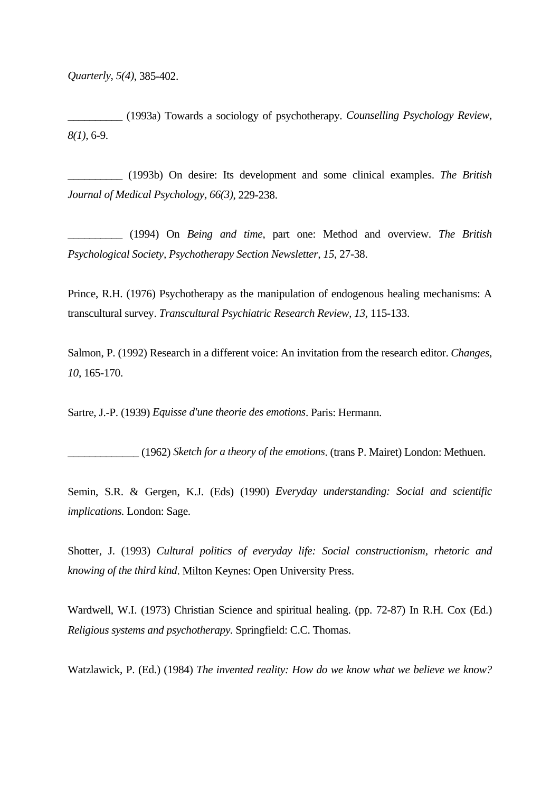*Quarterly, 5(4)*, 385-402.

\_\_\_\_\_\_\_\_\_\_ (1993a) Towards a sociology of psychotherapy. *Counselling Psychology Review, 8(1)*, 6-9.

\_\_\_\_\_\_\_\_\_\_ (1993b) On desire: Its development and some clinical examples. *The British Journal of Medical Psychology, 66(3)*, 229-238.

\_\_\_\_\_\_\_\_\_\_ (1994) On *Being and time*, part one: Method and overview. *The British Psychological Society, Psychotherapy Section Newsletter, 15*, 27-38.

Prince, R.H. (1976) Psychotherapy as the manipulation of endogenous healing mechanisms: A transcultural survey. *Transcultural Psychiatric Research Review, 13,* 115-133.

Salmon, P. (1992) Research in a different voice: An invitation from the research editor. *Changes*, *10*, 165-170.

Sartre, J.-P. (1939) *Equisse d'une theorie des emotions*. Paris: Hermann.

\_\_\_\_\_\_\_\_\_\_\_\_\_ (1962) *Sketch for a theory of the emotions*. (trans P. Mairet) London: Methuen.

Semin, S.R. & Gergen, K.J. (Eds) (1990) *Everyday understanding: Social and scientific implications.* London: Sage.

Shotter, J. (1993) *Cultural politics of everyday life: Social constructionism, rhetoric and knowing of the third kind*. Milton Keynes: Open University Press.

Wardwell, W.I. (1973) Christian Science and spiritual healing. (pp. 72-87) In R.H. Cox (Ed.) *Religious systems and psychotherapy.* Springfield: C.C. Thomas.

Watzlawick, P. (Ed.) (1984) *The invented reality: How do we know what we believe we know?*